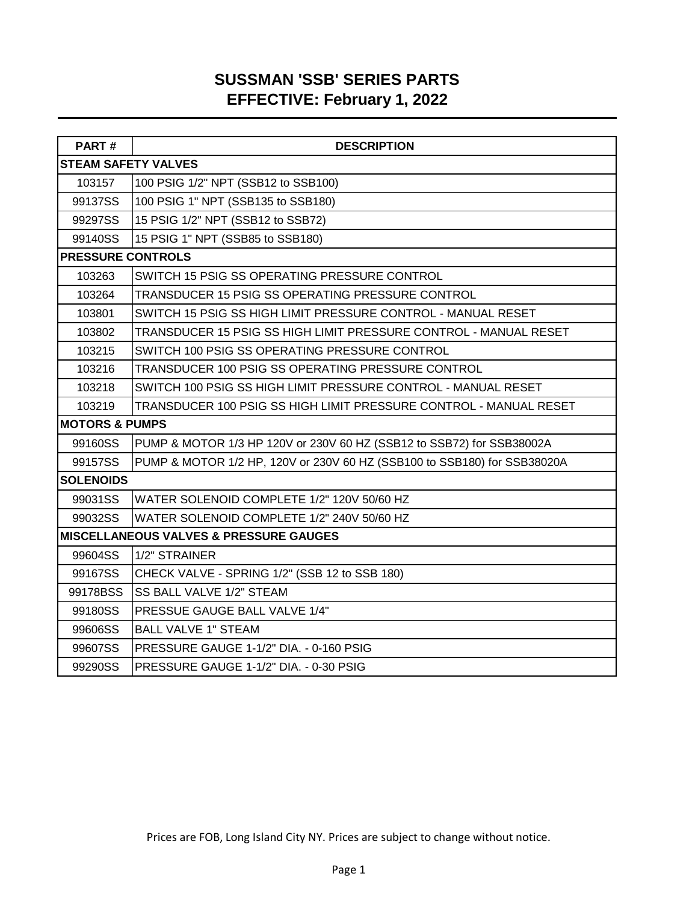## **SUSSMAN 'SSB' SERIES PARTS EFFECTIVE: February 1, 2022**

| PART#                      | <b>DESCRIPTION</b>                                                       |
|----------------------------|--------------------------------------------------------------------------|
| <b>STEAM SAFETY VALVES</b> |                                                                          |
| 103157                     | 100 PSIG 1/2" NPT (SSB12 to SSB100)                                      |
| 99137SS                    | 100 PSIG 1" NPT (SSB135 to SSB180)                                       |
| 99297SS                    | 15 PSIG 1/2" NPT (SSB12 to SSB72)                                        |
| 99140SS                    | 15 PSIG 1" NPT (SSB85 to SSB180)                                         |
| <b>PRESSURE CONTROLS</b>   |                                                                          |
| 103263                     | SWITCH 15 PSIG SS OPERATING PRESSURE CONTROL                             |
| 103264                     | TRANSDUCER 15 PSIG SS OPERATING PRESSURE CONTROL                         |
| 103801                     | SWITCH 15 PSIG SS HIGH LIMIT PRESSURE CONTROL - MANUAL RESET             |
| 103802                     | TRANSDUCER 15 PSIG SS HIGH LIMIT PRESSURE CONTROL - MANUAL RESET         |
| 103215                     | SWITCH 100 PSIG SS OPERATING PRESSURE CONTROL                            |
| 103216                     | TRANSDUCER 100 PSIG SS OPERATING PRESSURE CONTROL                        |
| 103218                     | SWITCH 100 PSIG SS HIGH LIMIT PRESSURE CONTROL - MANUAL RESET            |
| 103219                     | TRANSDUCER 100 PSIG SS HIGH LIMIT PRESSURE CONTROL - MANUAL RESET        |
| <b>MOTORS &amp; PUMPS</b>  |                                                                          |
| 99160SS                    | PUMP & MOTOR 1/3 HP 120V or 230V 60 HZ (SSB12 to SSB72) for SSB38002A    |
| 99157SS                    | PUMP & MOTOR 1/2 HP, 120V or 230V 60 HZ (SSB100 to SSB180) for SSB38020A |
| <b>SOLENOIDS</b>           |                                                                          |
| 99031SS                    | WATER SOLENOID COMPLETE 1/2" 120V 50/60 HZ                               |
| 99032SS                    | WATER SOLENOID COMPLETE 1/2" 240V 50/60 HZ                               |
|                            | <b>MISCELLANEOUS VALVES &amp; PRESSURE GAUGES</b>                        |
| 99604SS                    | 1/2" STRAINER                                                            |
| 99167SS                    | CHECK VALVE - SPRING 1/2" (SSB 12 to SSB 180)                            |
| 99178BSS                   | <b>SS BALL VALVE 1/2" STEAM</b>                                          |
| 99180SS                    | PRESSUE GAUGE BALL VALVE 1/4"                                            |
| 99606SS                    | <b>BALL VALVE 1" STEAM</b>                                               |
| 99607SS                    | PRESSURE GAUGE 1-1/2" DIA. - 0-160 PSIG                                  |
| 99290SS                    | PRESSURE GAUGE 1-1/2" DIA. - 0-30 PSIG                                   |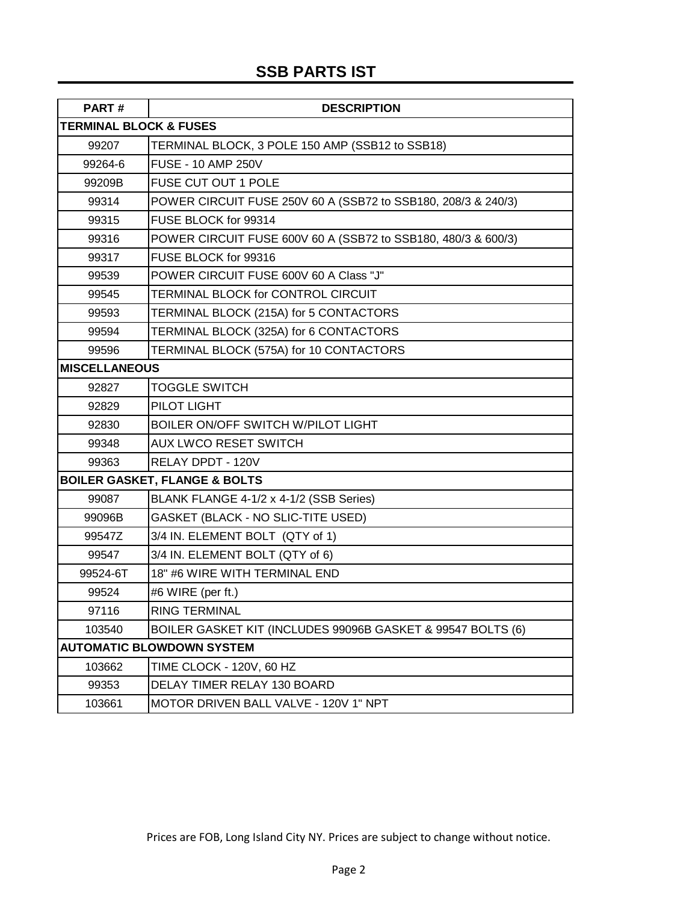# **SSB PARTS IST**

| PART#                             | <b>DESCRIPTION</b>                                            |
|-----------------------------------|---------------------------------------------------------------|
| <b>TERMINAL BLOCK &amp; FUSES</b> |                                                               |
| 99207                             | TERMINAL BLOCK, 3 POLE 150 AMP (SSB12 to SSB18)               |
| 99264-6                           | <b>FUSE - 10 AMP 250V</b>                                     |
| 99209B                            | FUSE CUT OUT 1 POLE                                           |
| 99314                             | POWER CIRCUIT FUSE 250V 60 A (SSB72 to SSB180, 208/3 & 240/3) |
| 99315                             | FUSE BLOCK for 99314                                          |
| 99316                             | POWER CIRCUIT FUSE 600V 60 A (SSB72 to SSB180, 480/3 & 600/3) |
| 99317                             | FUSE BLOCK for 99316                                          |
| 99539                             | POWER CIRCUIT FUSE 600V 60 A Class "J"                        |
| 99545                             | TERMINAL BLOCK for CONTROL CIRCUIT                            |
| 99593                             | TERMINAL BLOCK (215A) for 5 CONTACTORS                        |
| 99594                             | TERMINAL BLOCK (325A) for 6 CONTACTORS                        |
| 99596                             | TERMINAL BLOCK (575A) for 10 CONTACTORS                       |
| <b>MISCELLANEOUS</b>              |                                                               |
| 92827                             | TOGGLE SWITCH                                                 |
| 92829                             | PILOT LIGHT                                                   |
| 92830                             | BOILER ON/OFF SWITCH W/PILOT LIGHT                            |
| 99348                             | <b>AUX LWCO RESET SWITCH</b>                                  |
| 99363                             | RELAY DPDT - 120V                                             |
|                                   | <b>BOILER GASKET, FLANGE &amp; BOLTS</b>                      |
| 99087                             | BLANK FLANGE 4-1/2 x 4-1/2 (SSB Series)                       |
| 99096B                            | GASKET (BLACK - NO SLIC-TITE USED)                            |
| 99547Z                            | 3/4 IN. ELEMENT BOLT (QTY of 1)                               |
| 99547                             | 3/4 IN. ELEMENT BOLT (QTY of 6)                               |
| 99524-6T                          | 18" #6 WIRE WITH TERMINAL END                                 |
| 99524                             | #6 WIRE (per ft.)                                             |
| 97116                             | <b>RING TERMINAL</b>                                          |
| 103540                            | BOILER GASKET KIT (INCLUDES 99096B GASKET & 99547 BOLTS (6)   |
|                                   | <b>AUTOMATIC BLOWDOWN SYSTEM</b>                              |
| 103662                            | TIME CLOCK - 120V, 60 HZ                                      |
| 99353                             | DELAY TIMER RELAY 130 BOARD                                   |
| 103661                            | MOTOR DRIVEN BALL VALVE - 120V 1" NPT                         |

Prices are FOB, Long Island City NY. Prices are subject to change without notice.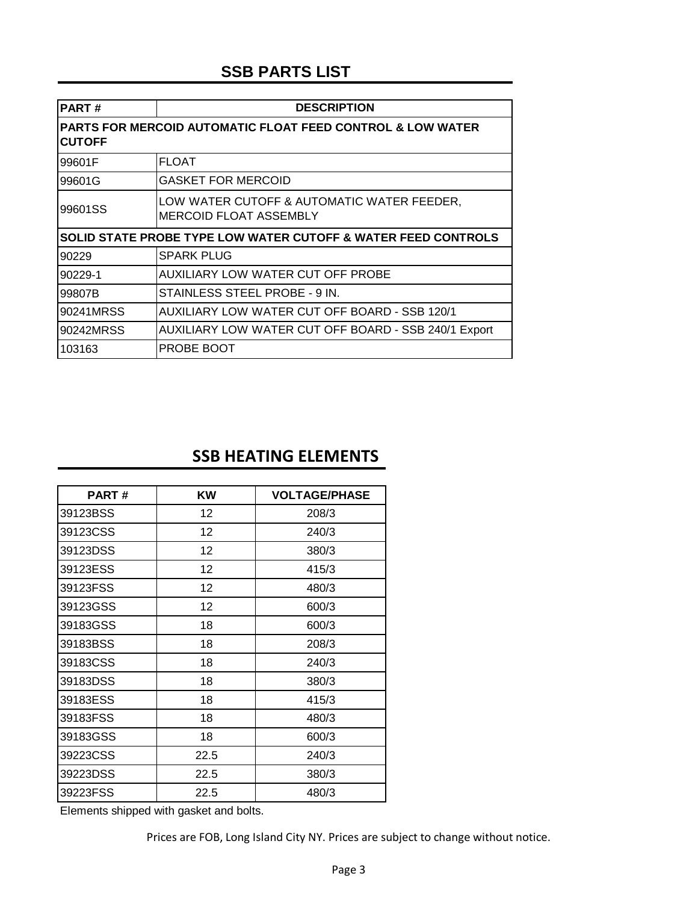# **SSB PARTS LIST**

| PART#         | <b>DESCRIPTION</b>                                                          |
|---------------|-----------------------------------------------------------------------------|
| <b>CUTOFF</b> | PARTS FOR MERCOID AUTOMATIC FLOAT FEED CONTROL & LOW WATER                  |
| 99601F        | <b>FLOAT</b>                                                                |
| 99601G        | <b>GASKET FOR MERCOID</b>                                                   |
| 99601SS       | LOW WATER CUTOFF & AUTOMATIC WATER FEEDER,<br><b>MERCOID FLOAT ASSEMBLY</b> |
|               | <b>SOLID STATE PROBE TYPE LOW WATER CUTOFF &amp; WATER FEED CONTROLS</b>    |
| 90229         | <b>SPARK PLUG</b>                                                           |
| 90229-1       | AUXILIARY LOW WATER CUT OFF PROBE                                           |
| 99807B        | STAINLESS STEEL PROBE - 9 IN.                                               |
| 90241MRSS     | AUXILIARY LOW WATER CUT OFF BOARD - SSB 120/1                               |
| 90242MRSS     | AUXILIARY LOW WATER CUT OFF BOARD - SSB 240/1 Export                        |
| 103163        | PROBE BOOT                                                                  |

### **SSB HEATING ELEMENTS**

| <b>PART#</b> | KW   | <b>VOLTAGE/PHASE</b> |
|--------------|------|----------------------|
| 39123BSS     | 12   | 208/3                |
| 39123CSS     | 12   | 240/3                |
| 39123DSS     | 12   | 380/3                |
| 39123ESS     | 12   | 415/3                |
| 39123FSS     | 12   | 480/3                |
| 39123GSS     | 12   | 600/3                |
| 39183GSS     | 18   | 600/3                |
| 39183BSS     | 18   | 208/3                |
| 39183CSS     | 18   | 240/3                |
| 39183DSS     | 18   | 380/3                |
| 39183ESS     | 18   | 415/3                |
| 39183FSS     | 18   | 480/3                |
| 39183GSS     | 18   | 600/3                |
| 39223CSS     | 22.5 | 240/3                |
| 39223DSS     | 22.5 | 380/3                |
| 39223FSS     | 22.5 | 480/3                |

Elements shipped with gasket and bolts.

Prices are FOB, Long Island City NY. Prices are subject to change without notice.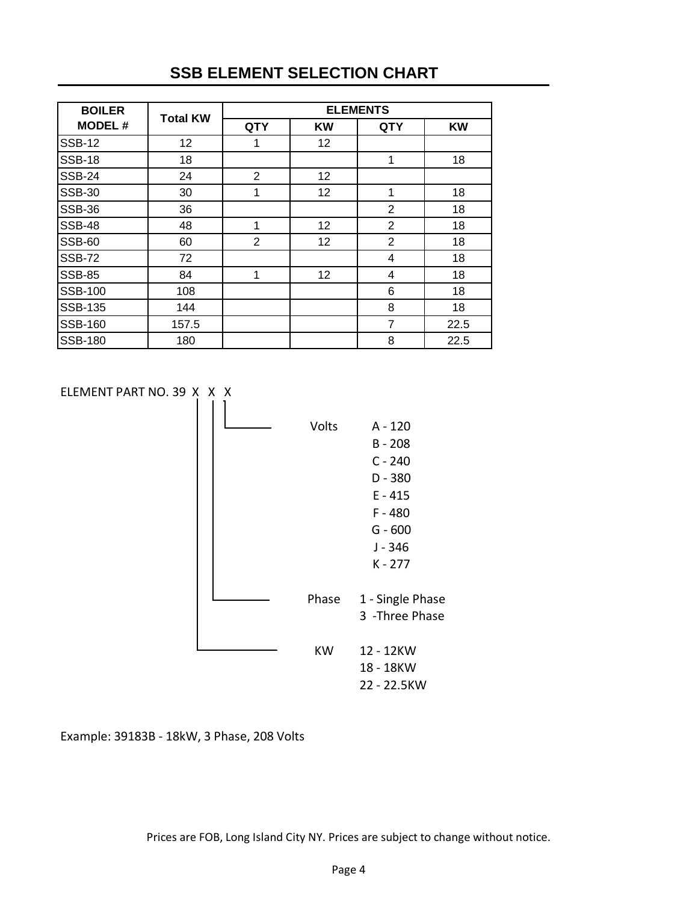## **SSB ELEMENT SELECTION CHART**

| <b>BOILER</b>  | <b>Total KW</b> | <b>ELEMENTS</b> |           |                |           |  |
|----------------|-----------------|-----------------|-----------|----------------|-----------|--|
| <b>MODEL#</b>  |                 | <b>QTY</b>      | <b>KW</b> | <b>QTY</b>     | <b>KW</b> |  |
| <b>SSB-12</b>  | 12              | 1               | 12        |                |           |  |
| <b>SSB-18</b>  | 18              |                 |           | 1              | 18        |  |
| <b>SSB-24</b>  | 24              | $\overline{2}$  | 12        |                |           |  |
| <b>SSB-30</b>  | 30              | 1               | 12        | 1              | 18        |  |
| <b>SSB-36</b>  | 36              |                 |           | $\overline{2}$ | 18        |  |
| <b>SSB-48</b>  | 48              | 1               | 12        | $\overline{2}$ | 18        |  |
| <b>SSB-60</b>  | 60              | $\overline{2}$  | 12        | $\overline{2}$ | 18        |  |
| <b>SSB-72</b>  | 72              |                 |           | 4              | 18        |  |
| <b>SSB-85</b>  | 84              | 1               | 12        | 4              | 18        |  |
| <b>SSB-100</b> | 108             |                 |           | 6              | 18        |  |
| <b>SSB-135</b> | 144             |                 |           | 8              | 18        |  |
| <b>SSB-160</b> | 157.5           |                 |           | $\overline{7}$ | 22.5      |  |
| <b>SSB-180</b> | 180             |                 |           | 8              | 22.5      |  |

ELEMENT PART NO. 39 X X X



Example: 39183B - 18kW, 3 Phase, 208 Volts

Prices are FOB, Long Island City NY. Prices are subject to change without notice.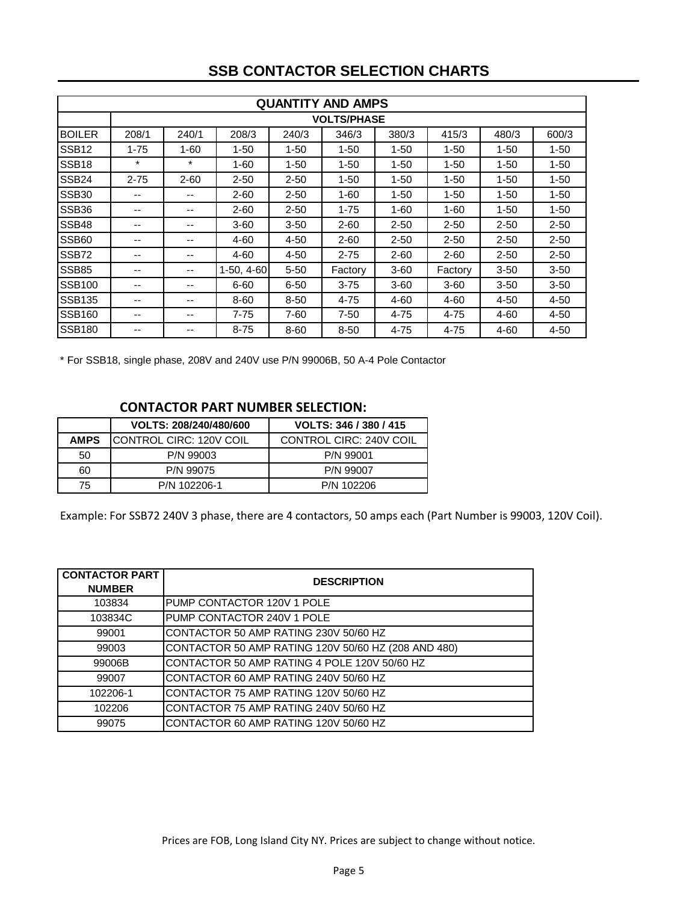|                   | <b>QUANTITY AND AMPS</b> |                    |            |          |          |          |          |          |          |
|-------------------|--------------------------|--------------------|------------|----------|----------|----------|----------|----------|----------|
|                   |                          | <b>VOLTS/PHASE</b> |            |          |          |          |          |          |          |
| <b>BOILER</b>     | 208/1                    | 240/1              | 208/3      | 240/3    | 346/3    | 380/3    | 415/3    | 480/3    | 600/3    |
| SSB <sub>12</sub> | $1 - 75$                 | $1 - 60$           | $1 - 50$   | $1 - 50$ | $1 - 50$ | $1 - 50$ | $1 - 50$ | $1 - 50$ | $1 - 50$ |
| SSB <sub>18</sub> | $\ast$                   | $\ast$             | $1 - 60$   | $1 - 50$ | $1 - 50$ | $1 - 50$ | $1 - 50$ | $1 - 50$ | $1 - 50$ |
| <b>SSB24</b>      | $2 - 75$                 | $2 - 60$           | $2 - 50$   | $2 - 50$ | $1 - 50$ | $1 - 50$ | $1 - 50$ | $1 - 50$ | $1 - 50$ |
| <b>SSB30</b>      | --                       |                    | $2 - 60$   | $2 - 50$ | $1 - 60$ | $1 - 50$ | $1 - 50$ | $1 - 50$ | $1 - 50$ |
| SSB <sub>36</sub> | --                       | --                 | $2 - 60$   | $2 - 50$ | $1 - 75$ | $1 - 60$ | $1 - 60$ | $1 - 50$ | $1 - 50$ |
| SSB48             | $- -$                    | --                 | $3 - 60$   | $3 - 50$ | $2 - 60$ | $2 - 50$ | $2 - 50$ | $2 - 50$ | $2 - 50$ |
| <b>SSB60</b>      | $- -$                    | --                 | 4-60       | $4 - 50$ | $2 - 60$ | $2 - 50$ | $2 - 50$ | $2 - 50$ | $2 - 50$ |
| <b>SSB72</b>      | --                       | --                 | 4-60       | $4 - 50$ | $2 - 75$ | $2 - 60$ | $2 - 60$ | $2 - 50$ | $2 - 50$ |
| <b>SSB85</b>      | --                       | --                 | 1-50, 4-60 | $5 - 50$ | Factory  | $3 - 60$ | Factory  | $3 - 50$ | $3 - 50$ |
| <b>SSB100</b>     | --                       | --                 | $6 - 60$   | $6 - 50$ | $3 - 75$ | $3 - 60$ | $3 - 60$ | $3 - 50$ | $3 - 50$ |
| <b>SSB135</b>     | --                       | --                 | 8-60       | $8 - 50$ | $4 - 75$ | 4-60     | 4-60     | 4-50     | $4 - 50$ |
| <b>SSB160</b>     | --                       | --                 | 7-75       | 7-60     | 7-50     | 4-75     | 4-75     | 4-60     | $4 - 50$ |
| <b>SSB180</b>     |                          |                    | $8 - 75$   | 8-60     | $8 - 50$ | 4-75     | $4 - 75$ | 4-60     | $4 - 50$ |

#### **SSB CONTACTOR SELECTION CHARTS**

\* For SSB18, single phase, 208V and 240V use P/N 99006B, 50 A-4 Pole Contactor

#### **CONTACTOR PART NUMBER SELECTION:**

|             | VOLTS: 208/240/480/600          | VOLTS: 346 / 380 / 415  |
|-------------|---------------------------------|-------------------------|
| <b>AMPS</b> | <b>ICONTROL CIRC: 120V COIL</b> | CONTROL CIRC: 240V COIL |
| 50          | P/N 99003                       | P/N 99001               |
| 60          | P/N 99075                       | P/N 99007               |
| 75          | P/N 102206-1                    | P/N 102206              |

Example: For SSB72 240V 3 phase, there are 4 contactors, 50 amps each (Part Number is 99003, 120V Coil).

| <b>CONTACTOR PART</b><br><b>NUMBER</b> | <b>DESCRIPTION</b>                                  |
|----------------------------------------|-----------------------------------------------------|
| 103834                                 | PUMP CONTACTOR 120V 1 POLE                          |
| 103834C                                | PUMP CONTACTOR 240V 1 POLE                          |
| 99001                                  | CONTACTOR 50 AMP RATING 230V 50/60 HZ               |
| 99003                                  | CONTACTOR 50 AMP RATING 120V 50/60 HZ (208 AND 480) |
| 99006B                                 | CONTACTOR 50 AMP RATING 4 POLE 120V 50/60 HZ        |
| 99007                                  | CONTACTOR 60 AMP RATING 240V 50/60 HZ               |
| 102206-1                               | CONTACTOR 75 AMP RATING 120V 50/60 HZ               |
| 102206                                 | CONTACTOR 75 AMP RATING 240V 50/60 HZ               |
| 99075                                  | CONTACTOR 60 AMP RATING 120V 50/60 HZ               |